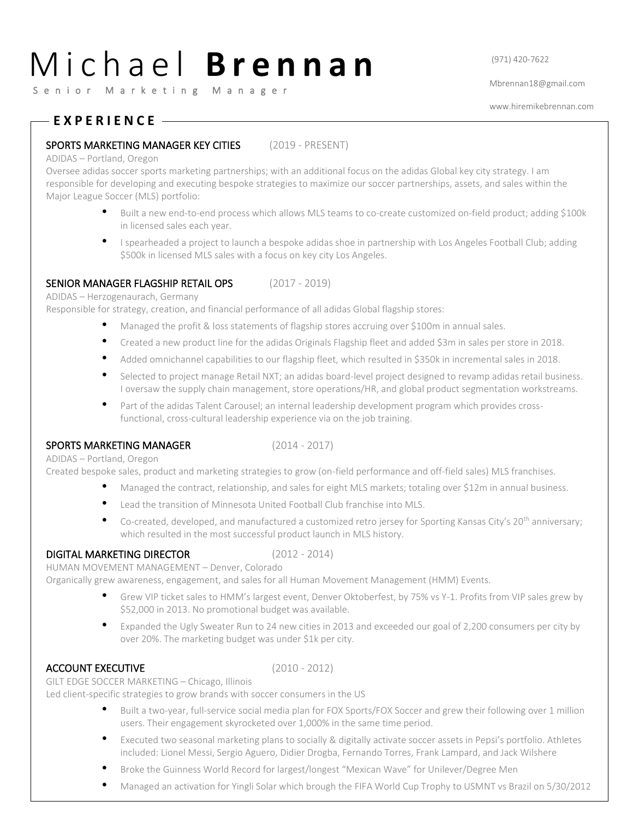# M i c h a e l **B r e n n a n**  $\frac{971}{420-7622}$

S e n i o r M a r k e t i n g M a n a g e r

Mbrennan18@gmail.com

www.hiremikebrennan.com

# **E X P E R I E N C E**

## SPORTS MARKETING MANAGER KEY CITIES (2019 - PRESENT)

#### ADIDAS – Portland, Oregon

Oversee adidas soccer sports marketing partnerships; with an additional focus on the adidas Global key city strategy. I am responsible for developing and executing bespoke strategies to maximize our soccer partnerships, assets, and sales within the Major League Soccer (MLS) portfolio:

- Built a new end-to-end process which allows MLS teams to co-create customized on-field product; adding \$100k in licensed sales each year.
- I spearheaded a project to launch a bespoke adidas shoe in partnership with Los Angeles Football Club; adding \$500k in licensed MLS sales with a focus on key city Los Angeles.

## SENIOR MANAGER FLAGSHIP RETAIL OPS (2017 - 2019)

ADIDAS – Herzogenaurach, Germany

Responsible for strategy, creation, and financial performance of all adidas Global flagship stores:

- Managed the profit & loss statements of flagship stores accruing over \$100m in annual sales.
- Created a new product line for the adidas Originals Flagship fleet and added \$3m in sales per store in 2018.
- Added omnichannel capabilities to our flagship fleet, which resulted in \$350k in incremental sales in 2018.
- Selected to project manage Retail NXT; an adidas board-level project designed to revamp adidas retail business. I oversaw the supply chain management, store operations/HR, and global product segmentation workstreams.
- Part of the adidas Talent Carousel; an internal leadership development program which provides crossfunctional, cross-cultural leadership experience via on the job training.

### SPORTS MARKETING MANAGER (2014 - 2017)

ADIDAS – Portland, Oregon

Created bespoke sales, product and marketing strategies to grow (on-field performance and off-field sales) MLS franchises.

- Managed the contract, relationship, and sales for eight MLS markets; totaling over \$12m in annual business.
- Lead the transition of Minnesota United Football Club franchise into MLS.
- Co-created, developed, and manufactured a customized retro jersey for Sporting Kansas City's 20<sup>th</sup> anniversary; which resulted in the most successful product launch in MLS history.

## DIGITAL MARKETING DIRECTOR (2012 - 2014)

HUMAN MOVEMENT MANAGEMENT – Denver, Colorado

Organically grew awareness, engagement, and sales for all Human Movement Management (HMM) Events.

- Grew VIP ticket sales to HMM's largest event, Denver Oktoberfest, by 75% vs Y-1. Profits from VIP sales grew by \$52,000 in 2013. No promotional budget was available.
- Expanded the Ugly Sweater Run to 24 new cities in 2013 and exceeded our goal of 2,200 consumers per city by over 20%. The marketing budget was under \$1k per city.

### ACCOUNT EXECUTIVE (2010 - 2012)

GILT EDGE SOCCER MARKETING – Chicago, Illinois

Led client-specific strategies to grow brands with soccer consumers in the US

- Built a two-year, full-service social media plan for FOX Sports/FOX Soccer and grew their following over 1 million users. Their engagement skyrocketed over 1,000% in the same time period.
- Executed two seasonal marketing plans to socially & digitally activate soccer assets in Pepsi's portfolio. Athletes included: Lionel Messi, Sergio Aguero, Didier Drogba, Fernando Torres, Frank Lampard, and Jack Wilshere
- Broke the Guinness World Record for largest/longest "Mexican Wave" for Unilever/Degree Men
- Managed an activation for Yingli Solar which brough the FIFA World Cup Trophy to USMNT vs Brazil on 5/30/2012